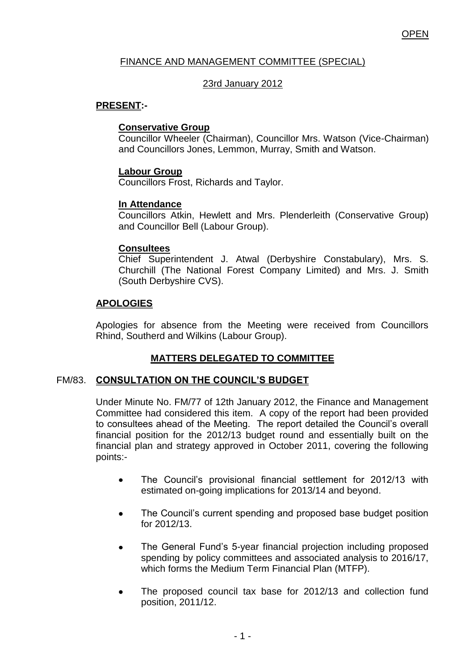## FINANCE AND MANAGEMENT COMMITTEE (SPECIAL)

## 23rd January 2012

## **PRESENT:-**

## **Conservative Group**

Councillor Wheeler (Chairman), Councillor Mrs. Watson (Vice-Chairman) and Councillors Jones, Lemmon, Murray, Smith and Watson.

## **Labour Group**

Councillors Frost, Richards and Taylor.

## **In Attendance**

Councillors Atkin, Hewlett and Mrs. Plenderleith (Conservative Group) and Councillor Bell (Labour Group).

#### **Consultees**

Chief Superintendent J. Atwal (Derbyshire Constabulary), Mrs. S. Churchill (The National Forest Company Limited) and Mrs. J. Smith (South Derbyshire CVS).

## **APOLOGIES**

Apologies for absence from the Meeting were received from Councillors Rhind, Southerd and Wilkins (Labour Group).

# **MATTERS DELEGATED TO COMMITTEE**

## FM/83. **CONSULTATION ON THE COUNCIL'S BUDGET**

Under Minute No. FM/77 of 12th January 2012, the Finance and Management Committee had considered this item. A copy of the report had been provided to consultees ahead of the Meeting. The report detailed the Council's overall financial position for the 2012/13 budget round and essentially built on the financial plan and strategy approved in October 2011, covering the following points:-

- The Council's provisional financial settlement for 2012/13 with  $\bullet$ estimated on-going implications for 2013/14 and beyond.
- The Council's current spending and proposed base budget position for 2012/13.
- The General Fund's 5-year financial projection including proposed spending by policy committees and associated analysis to 2016/17, which forms the Medium Term Financial Plan (MTFP).
- The proposed council tax base for 2012/13 and collection fund position, 2011/12.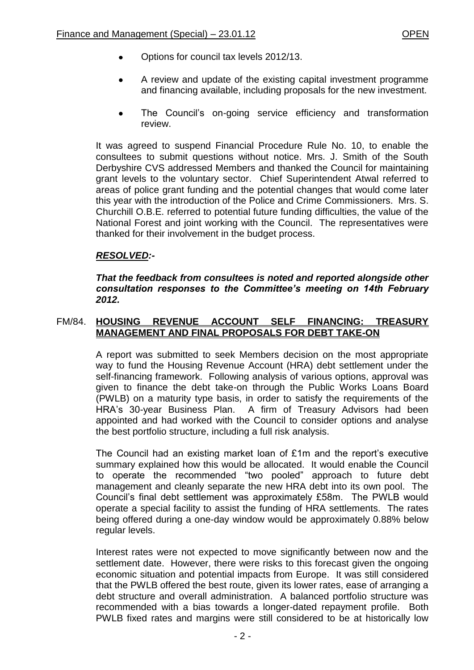- Options for council tax levels 2012/13.
- A review and update of the existing capital investment programme  $\bullet$ and financing available, including proposals for the new investment.
- The Council's on-going service efficiency and transformation  $\bullet$ review.

It was agreed to suspend Financial Procedure Rule No. 10, to enable the consultees to submit questions without notice. Mrs. J. Smith of the South Derbyshire CVS addressed Members and thanked the Council for maintaining grant levels to the voluntary sector. Chief Superintendent Atwal referred to areas of police grant funding and the potential changes that would come later this year with the introduction of the Police and Crime Commissioners. Mrs. S. Churchill O.B.E. referred to potential future funding difficulties, the value of the National Forest and joint working with the Council. The representatives were thanked for their involvement in the budget process.

## *RESOLVED:-*

*That the feedback from consultees is noted and reported alongside other consultation responses to the Committee's meeting on 14th February 2012.*

#### FM/84. **HOUSING REVENUE ACCOUNT SELF FINANCING: TREASURY MANAGEMENT AND FINAL PROPOSALS FOR DEBT TAKE-ON**

A report was submitted to seek Members decision on the most appropriate way to fund the Housing Revenue Account (HRA) debt settlement under the self-financing framework. Following analysis of various options, approval was given to finance the debt take-on through the Public Works Loans Board (PWLB) on a maturity type basis, in order to satisfy the requirements of the HRA's 30-year Business Plan. A firm of Treasury Advisors had been appointed and had worked with the Council to consider options and analyse the best portfolio structure, including a full risk analysis.

The Council had an existing market loan of £1m and the report's executive summary explained how this would be allocated. It would enable the Council to operate the recommended "two pooled" approach to future debt management and cleanly separate the new HRA debt into its own pool. The Council's final debt settlement was approximately £58m. The PWLB would operate a special facility to assist the funding of HRA settlements. The rates being offered during a one-day window would be approximately 0.88% below regular levels.

Interest rates were not expected to move significantly between now and the settlement date. However, there were risks to this forecast given the ongoing economic situation and potential impacts from Europe. It was still considered that the PWLB offered the best route, given its lower rates, ease of arranging a debt structure and overall administration. A balanced portfolio structure was recommended with a bias towards a longer-dated repayment profile. Both PWLB fixed rates and margins were still considered to be at historically low